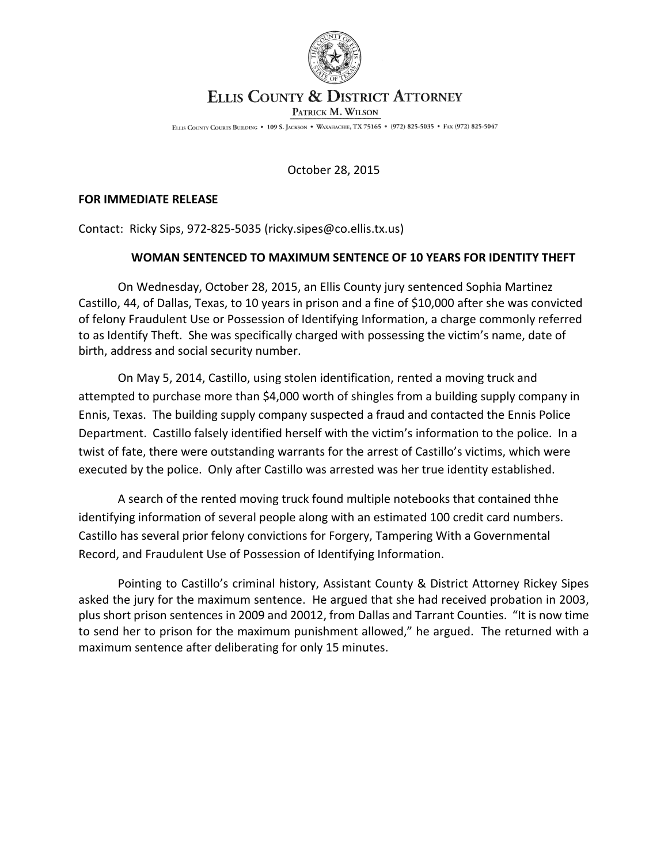

## **ELLIS COUNTY & DISTRICT ATTORNEY**

PATRICK M. WILSON

ELLIS COUNTY COURTS BUILDING . 109 S. JACKSON . WAXAHACHIE, TX 75165 . (972) 825-5035 . FAX (972) 825-5047

October 28, 2015

## **FOR IMMEDIATE RELEASE**

Contact: Ricky Sips, 972-825-5035 (ricky.sipes@co.ellis.tx.us)

## **WOMAN SENTENCED TO MAXIMUM SENTENCE OF 10 YEARS FOR IDENTITY THEFT**

On Wednesday, October 28, 2015, an Ellis County jury sentenced Sophia Martinez Castillo, 44, of Dallas, Texas, to 10 years in prison and a fine of \$10,000 after she was convicted of felony Fraudulent Use or Possession of Identifying Information, a charge commonly referred to as Identify Theft. She was specifically charged with possessing the victim's name, date of birth, address and social security number.

On May 5, 2014, Castillo, using stolen identification, rented a moving truck and attempted to purchase more than \$4,000 worth of shingles from a building supply company in Ennis, Texas. The building supply company suspected a fraud and contacted the Ennis Police Department. Castillo falsely identified herself with the victim's information to the police. In a twist of fate, there were outstanding warrants for the arrest of Castillo's victims, which were executed by the police. Only after Castillo was arrested was her true identity established.

A search of the rented moving truck found multiple notebooks that contained thhe identifying information of several people along with an estimated 100 credit card numbers. Castillo has several prior felony convictions for Forgery, Tampering With a Governmental Record, and Fraudulent Use of Possession of Identifying Information.

Pointing to Castillo's criminal history, Assistant County & District Attorney Rickey Sipes asked the jury for the maximum sentence. He argued that she had received probation in 2003, plus short prison sentences in 2009 and 20012, from Dallas and Tarrant Counties. "It is now time to send her to prison for the maximum punishment allowed," he argued. The returned with a maximum sentence after deliberating for only 15 minutes.